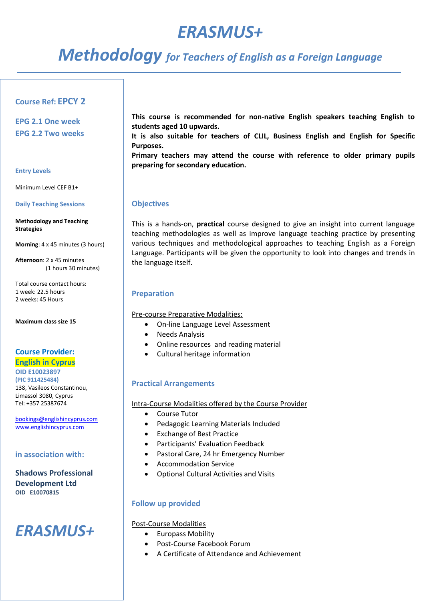# *ERASMUS+*

# *Methodology for Teachers of English as a Foreign Language*

## **Course Ref: EPCY 2**

**EPG 2.1 One week EPG 2.2 Two weeks**

#### **Entry Levels**

Minimum Level CEF B1+

### **Daily Teaching Sessions**

#### **Methodology and Teaching Strategies**

**Morning**: 4 x 45 minutes (3 hours)

**Afternoon**: 2 x 45 minutes (1 hours 30 minutes)

Total course contact hours: 1 week: 22.5 hours 2 weeks: 45 Hours

**Maximum class size 15**

## **Course Provider:**

## **English in Cyprus OID E10023897 (PIC 911425484)**  138, Vasileos Constantinou, Limassol 3080, Cyprus Tel: +357 25387674

[bookings@englishincyprus.com](mailto:bookings@englishincyprus.com)  [www.englishincyprus.com](http://www.englishincyprus.com/) 

## **in association with:**

**Shadows Professional Development Ltd OID E10070815**

## *ERASMUS+*

**This course is recommended for non-native English speakers teaching English to students aged 10 upwards.**

**It is also suitable for teachers of CLIL, Business English and English for Specific Purposes.** 

**Primary teachers may attend the course with reference to older primary pupils preparing for secondary education.**

## **Objectives**

This is a hands-on, **practical** course designed to give an insight into current language teaching methodologies as well as improve language teaching practice by presenting various techniques and methodological approaches to teaching English as a Foreign Language. Participants will be given the opportunity to look into changes and trends in the language itself.

## **Preparation**

Pre-course Preparative Modalities:

- On-line Language Level Assessment
- Needs Analysis
- Online resources and reading material
- Cultural heritage information

## **Practical Arrangements**

Intra-Course Modalities offered by the Course Provider

- Course Tutor
- Pedagogic Learning Materials Included
- Exchange of Best Practice
- Participants' Evaluation Feedback
- Pastoral Care, 24 hr Emergency Number
- Accommodation Service
- Optional Cultural Activities and Visits

## **Follow up provided**

## Post-Course Modalities

- Europass Mobility
- Post-Course Facebook Forum
- A Certificate of Attendance and Achievement